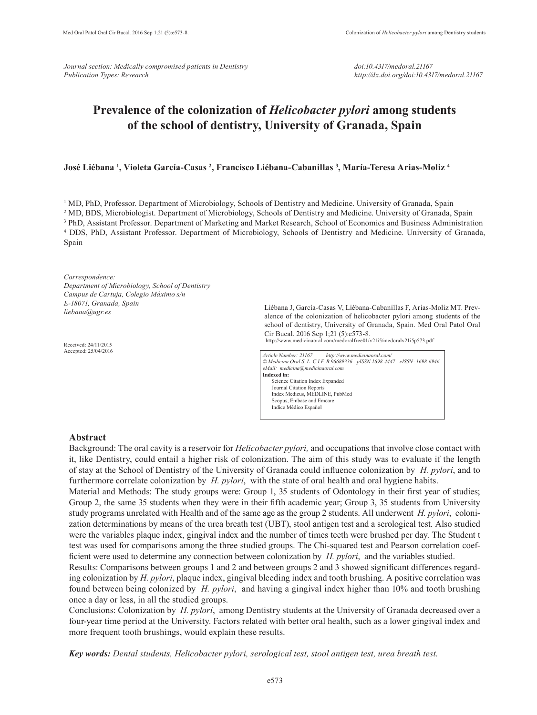*Journal section: Medically compromised patients in Dentistry Publication Types: Research*

# **Prevalence of the colonization of** *Helicobacter pylori* **among students of the school of dentistry, University of Granada, Spain**

# **José Liébana 1 , Violeta García-Casas 2 , Francisco Liébana-Cabanillas 3 , María-Teresa Arias-Moliz 4**

<sup>1</sup> MD, PhD, Professor. Department of Microbiology, Schools of Dentistry and Medicine. University of Granada, Spain 2 MD, BDS, Microbiologist. Department of Microbiology, Schools of Dentistry and Medicine. University of Granada, Spain 3 PhD, Assistant Professor. Department of Marketing and Market Research, School of Economics and Business Administration 4 DDS, PhD, Assistant Professor. Department of Microbiology, Schools of Dentistry and Medicine. University of Granada, Spain

*Correspondence: Department of Microbiology, School of Dentistry Campus de Cartuja, Colegio Máximo s/n E-18071, Granada, Spain liebana@ugr.es*

Received: 24/11/2015 Accepted: 25/04/2016

Liébana J, García-Casas V, Liébana-Cabanillas F, Arias-Moliz MT. Prevalence of the colonization of helicobacter pylori among students of the school of dentistry, University of Granada, Spain. Med Oral Patol Oral Cir Bucal. 2016 Sep 1;21 (5):e573-8.

http://www.medicinaoral.com/medoralfree01/v21i5/medoralv21i5p573.pdf

*Article Number: 21167 http://www.medicinaoral.com/ © Medicina Oral S. L. C.I.F. B 96689336 - pISSN 1698-4447 - eISSN: 1698-6946 eMail: medicina@medicinaoral.com*  **Indexed in:**  Science Citation Index Expanded Journal Citation Reports Index Medicus, MEDLINE, PubMed Scopus, Embase and Emcare Indice Médico Español

### **Abstract**

Background: The oral cavity is a reservoir for *Helicobacter pylori,* and occupations that involve close contact with it, like Dentistry, could entail a higher risk of colonization. The aim of this study was to evaluate if the length of stay at the School of Dentistry of the University of Granada could influence colonization by *H. pylori*, and to furthermore correlate colonization by *H. pylori*, with the state of oral health and oral hygiene habits.

Material and Methods: The study groups were: Group 1, 35 students of Odontology in their first year of studies; Group 2, the same 35 students when they were in their fifth academic year; Group 3, 35 students from University study programs unrelated with Health and of the same age as the group 2 students. All underwent *H. pylori*, colonization determinations by means of the urea breath test (UBT), stool antigen test and a serological test. Also studied were the variables plaque index, gingival index and the number of times teeth were brushed per day. The Student t test was used for comparisons among the three studied groups. The Chi-squared test and Pearson correlation coefficient were used to determine any connection between colonization by *H. pylori*, and the variables studied.

Results: Comparisons between groups 1 and 2 and between groups 2 and 3 showed significant differences regarding colonization by *H. pylori*, plaque index, gingival bleeding index and tooth brushing. A positive correlation was found between being colonized by *H. pylori*, and having a gingival index higher than 10% and tooth brushing once a day or less, in all the studied groups.

Conclusions: Colonization by *H. pylori*, among Dentistry students at the University of Granada decreased over a four-year time period at the University. Factors related with better oral health, such as a lower gingival index and more frequent tooth brushings, would explain these results.

*Key words: Dental students, Helicobacter pylori, serological test, stool antigen test, urea breath test.*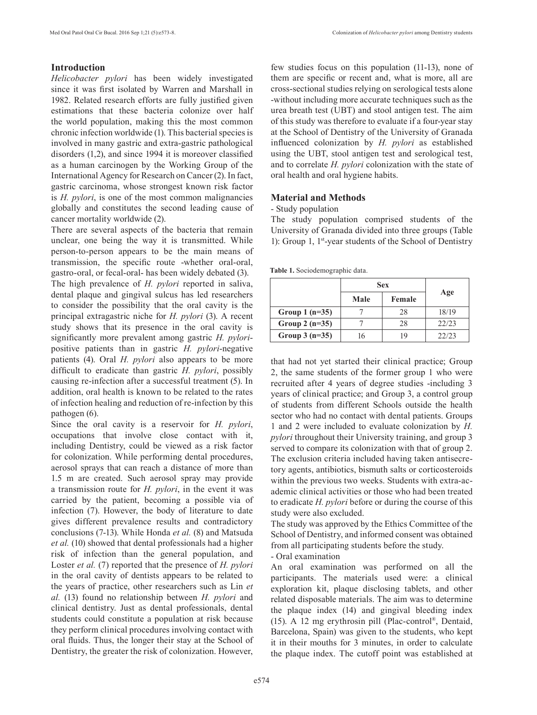# **Introduction**

*Helicobacter pylori* has been widely investigated since it was first isolated by Warren and Marshall in 1982. Related research efforts are fully justified given estimations that these bacteria colonize over half the world population, making this the most common chronic infection worldwide (1). This bacterial species is involved in many gastric and extra-gastric pathological disorders (1,2), and since 1994 it is moreover classified as a human carcinogen by the Working Group of the International Agency for Research on Cancer (2). In fact, gastric carcinoma, whose strongest known risk factor is *H. pylori*, is one of the most common malignancies globally and constitutes the second leading cause of cancer mortality worldwide (2).

There are several aspects of the bacteria that remain unclear, one being the way it is transmitted. While person-to-person appears to be the main means of transmission, the specific route -whether oral-oral, gastro-oral, or fecal-oral- has been widely debated (3).

The high prevalence of *H. pylori* reported in saliva, dental plaque and gingival sulcus has led researchers to consider the possibility that the oral cavity is the principal extragastric niche for *H. pylori* (3). A recent study shows that its presence in the oral cavity is significantly more prevalent among gastric *H. pylori*positive patients than in gastric *H. pylori*-negative patients (4). Oral *H. pylori* also appears to be more difficult to eradicate than gastric *H. pylori*, possibly causing re-infection after a successful treatment (5). In addition, oral health is known to be related to the rates of infection healing and reduction of re-infection by this pathogen (6).

Since the oral cavity is a reservoir for *H. pylori*, occupations that involve close contact with it, including Dentistry, could be viewed as a risk factor for colonization. While performing dental procedures, aerosol sprays that can reach a distance of more than 1.5 m are created. Such aerosol spray may provide a transmission route for *H. pylori*, in the event it was carried by the patient, becoming a possible via of infection (7). However, the body of literature to date gives different prevalence results and contradictory conclusions (7-13). While Honda *et al.* (8) and Matsuda *et al.* (10) showed that dental professionals had a higher risk of infection than the general population, and Loster *et al.* (7) reported that the presence of *H. pylori* in the oral cavity of dentists appears to be related to the years of practice, other researchers such as Lin *et al.* (13) found no relationship between *H. pylori* and clinical dentistry. Just as dental professionals, dental students could constitute a population at risk because they perform clinical procedures involving contact with oral fluids. Thus, the longer their stay at the School of Dentistry, the greater the risk of colonization. However,

few studies focus on this population (11-13), none of them are specific or recent and, what is more, all are cross-sectional studies relying on serological tests alone -without including more accurate techniques such as the urea breath test (UBT) and stool antigen test. The aim of this study was therefore to evaluate if a four-year stay at the School of Dentistry of the University of Granada influenced colonization by *H. pylori* as established using the UBT, stool antigen test and serological test, and to correlate *H. pylori* colonization with the state of oral health and oral hygiene habits.

# **Material and Methods**

- Study population

The study population comprised students of the University of Granada divided into three groups (Table 1): Group 1, 1st-year students of the School of Dentistry

**Table 1.** Sociodemographic data.

|                 | <b>Sex</b> |        |       |
|-----------------|------------|--------|-------|
|                 | Male       | Female | Age   |
| Group $1(n=35)$ |            | 28     | 18/19 |
| Group $2(n=35)$ |            | 28     | 22/23 |
| Group $3(n=35)$ |            | 19     | 22/23 |

that had not yet started their clinical practice; Group 2, the same students of the former group 1 who were recruited after 4 years of degree studies -including 3 years of clinical practice; and Group 3, a control group of students from different Schools outside the health sector who had no contact with dental patients. Groups 1 and 2 were included to evaluate colonization by *H. pylori* throughout their University training, and group 3 served to compare its colonization with that of group 2. The exclusion criteria included having taken antisecretory agents, antibiotics, bismuth salts or corticosteroids within the previous two weeks. Students with extra-academic clinical activities or those who had been treated to eradicate *H. pylori* before or during the course of this study were also excluded.

The study was approved by the Ethics Committee of the School of Dentistry, and informed consent was obtained from all participating students before the study.

- Oral examination

An oral examination was performed on all the participants. The materials used were: a clinical exploration kit, plaque disclosing tablets, and other related disposable materials. The aim was to determine the plaque index (14) and gingival bleeding index (15). A 12 mg erythrosin pill (Plac-control®, Dentaid, Barcelona, Spain) was given to the students, who kept it in their mouths for 3 minutes, in order to calculate the plaque index. The cutoff point was established at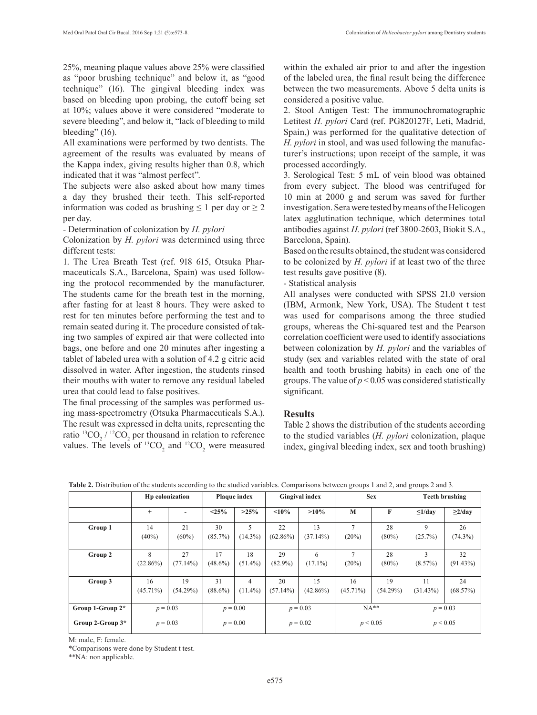25%, meaning plaque values above 25% were classified as "poor brushing technique" and below it, as "good technique" (16). The gingival bleeding index was based on bleeding upon probing, the cutoff being set at 10%; values above it were considered "moderate to severe bleeding", and below it, "lack of bleeding to mild bleeding" (16).

All examinations were performed by two dentists. The agreement of the results was evaluated by means of the Kappa index, giving results higher than 0.8, which indicated that it was "almost perfect".

The subjects were also asked about how many times a day they brushed their teeth. This self-reported information was coded as brushing  $\leq 1$  per day or  $\geq 2$ per day.

- Determination of colonization by *H. pylori*

Colonization by *H. pylori* was determined using three different tests:

1. The Urea Breath Test (ref. 918 615, Otsuka Pharmaceuticals S.A., Barcelona, Spain) was used following the protocol recommended by the manufacturer. The students came for the breath test in the morning, after fasting for at least 8 hours. They were asked to rest for ten minutes before performing the test and to remain seated during it. The procedure consisted of taking two samples of expired air that were collected into bags, one before and one 20 minutes after ingesting a tablet of labeled urea with a solution of 4.2 g citric acid dissolved in water. After ingestion, the students rinsed their mouths with water to remove any residual labeled urea that could lead to false positives.

The final processing of the samples was performed using mass-spectrometry (Otsuka Pharmaceuticals S.A.). The result was expressed in delta units, representing the ratio  ${}^{13}CO_2$  /  ${}^{12}CO_2$  per thousand in relation to reference values. The levels of  ${}^{13}CO_2$  and  ${}^{12}CO_2$  were measured within the exhaled air prior to and after the ingestion of the labeled urea, the final result being the difference between the two measurements. Above 5 delta units is considered a positive value.

2. Stool Antigen Test: The immunochromatographic Letitest *H. pylori* Card (ref. PG820127F, Leti, Madrid, Spain,) was performed for the qualitative detection of *H. pylori* in stool, and was used following the manufacturer's instructions; upon receipt of the sample, it was processed accordingly.

3. Serological Test: 5 mL of vein blood was obtained from every subject. The blood was centrifuged for 10 min at 2000 g and serum was saved for further investigation. Sera were tested by means of the Helicogen latex agglutination technique, which determines total antibodies against *H. pylori* (ref 3800-2603, Biokit S.A., Barcelona, Spain).

Based on the results obtained, the student was considered to be colonized by *H. pylori* if at least two of the three test results gave positive (8).

- Statistical analysis

All analyses were conducted with SPSS 21.0 version (IBM, Armonk, New York, USA). The Student t test was used for comparisons among the three studied groups, whereas the Chi-squared test and the Pearson correlation coefficient were used to identify associations between colonization by *H. pylori* and the variables of study (sex and variables related with the state of oral health and tooth brushing habits) in each one of the groups. The value of  $p < 0.05$  was considered statistically significant.

# **Results**

Table 2 shows the distribution of the students according to the studied variables (*H. pylori* colonization, plaque index, gingival bleeding index, sex and tooth brushing)

|                  | Hp colonization             |                          | Plaque index     |                  | <b>Gingival index</b> |                   | <b>Sex</b>              |                | <b>Teeth brushing</b> |                   |  |
|------------------|-----------------------------|--------------------------|------------------|------------------|-----------------------|-------------------|-------------------------|----------------|-----------------------|-------------------|--|
|                  | $+$                         | $\overline{\phantom{0}}$ | $< 25\%$         | $>25\%$          | $< 10\%$              | $>10\%$           | M                       | F              | $\leq1$ /dav          | $\geq$ 2/day      |  |
| Group 1          | 14<br>$(40\%)$              | 21<br>$(60\%)$           | 30<br>$(85.7\%)$ | 5<br>$(14.3\%)$  | 22<br>$(62.86\%)$     | 13<br>$(37.14\%)$ | $\overline{ }$<br>(20%) | 28<br>$(80\%)$ | 9<br>$(25.7\%)$       | 26<br>$(74.3\%)$  |  |
| Group 2          | $\mathbf{8}$<br>$(22.86\%)$ | 27<br>$(77.14\%)$        | 17<br>$(48.6\%)$ | 18<br>$(51.4\%)$ | 29<br>$(82.9\%)$      | 6<br>$(17.1\%)$   | $\overline{7}$<br>(20%) | 28<br>$(80\%)$ | 3<br>$(8.57\%)$       | 32<br>$(91.43\%)$ |  |
| Group 3          | 16<br>$(45.71\%)$           | 19<br>$(54.29\%)$        | 31<br>$(88.6\%)$ | 4<br>$(11.4\%)$  | 20<br>$(57.14\%)$     | 15<br>$(42.86\%)$ | 16<br>$(45.71\%)$       | 19<br>(54.29%) | 11<br>$(31.43\%)$     | 24<br>(68.57%)    |  |
| Group 1-Group 2* | $p = 0.03$                  |                          | $p = 0.00$       |                  | $p = 0.03$            |                   | $NA**$                  |                | $p = 0.03$            |                   |  |
| Group 2-Group 3* | $p = 0.03$                  |                          |                  | $p = 0.00$       |                       | $p = 0.02$        |                         | p < 0.05       |                       | p < 0.05          |  |

**Table 2.** Distribution of the students according to the studied variables. Comparisons between groups 1 and 2, and groups 2 and 3.

M: male, F: female.

\*Comparisons were done by Student t test.

\*\*NA: non applicable.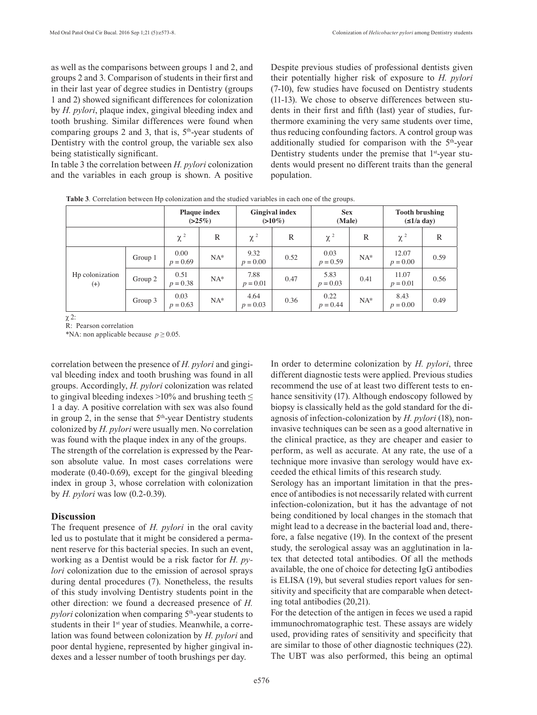as well as the comparisons between groups 1 and 2, and groups 2 and 3. Comparison of students in their first and in their last year of degree studies in Dentistry (groups 1 and 2) showed significant differences for colonization by *H. pylori*, plaque index, gingival bleeding index and tooth brushing. Similar differences were found when comparing groups 2 and 3, that is,  $5<sup>th</sup>$ -year students of Dentistry with the control group, the variable sex also being statistically significant.

In table 3 the correlation between *H. pylori* colonization and the variables in each group is shown. A positive

Despite previous studies of professional dentists given their potentially higher risk of exposure to *H. pylori* (7-10), few studies have focused on Dentistry students (11-13). We chose to observe differences between students in their first and fifth (last) year of studies, furthermore examining the very same students over time, thus reducing confounding factors. A control group was additionally studied for comparison with the  $5<sup>th</sup>$ -year Dentistry students under the premise that 1<sup>st</sup>-year students would present no different traits than the general population.

|                             |         | <b>Plaque index</b><br>(>25%) |        | <b>Gingival index</b><br>$(>10\%)$ |      | <b>Sex</b><br>(Male) |        | <b>Tooth brushing</b><br>$(\leq 1/a \text{ day})$ |      |
|-----------------------------|---------|-------------------------------|--------|------------------------------------|------|----------------------|--------|---------------------------------------------------|------|
|                             |         | $\chi^2$                      | R      | $\chi^2$                           | R    | $\chi^2$             | R      | $\chi^2$                                          | R    |
| Hp colonization<br>$^{(+)}$ | Group 1 | 0.00<br>$p = 0.69$            | $NA^*$ | 9.32<br>$p = 0.00$                 | 0.52 | 0.03<br>$p = 0.59$   | $NA^*$ | 12.07<br>$p = 0.00$                               | 0.59 |
|                             | Group 2 | 0.51<br>$p = 0.38$            | $NA^*$ | 7.88<br>$p = 0.01$                 | 0.47 | 5.83<br>$p = 0.03$   | 0.41   | 11.07<br>$p = 0.01$                               | 0.56 |
|                             | Group 3 | 0.03<br>$p = 0.63$            | $NA^*$ | 4.64<br>$p = 0.03$                 | 0.36 | 0.22<br>$p = 0.44$   | $NA^*$ | 8.43<br>$p = 0.00$                                | 0.49 |

**Table 3***.* Correlation between Hp colonization and the studied variables in each one of the groups.

χ 2:

R: Pearson correlation

\*NA: non applicable because  $p \ge 0.05$ .

correlation between the presence of *H. pylori* and gingival bleeding index and tooth brushing was found in all groups. Accordingly, *H. pylori* colonization was related to gingival bleeding indexes >10% and brushing teeth  $\leq$ 1 a day. A positive correlation with sex was also found in group 2, in the sense that  $5<sup>th</sup>$ -year Dentistry students colonized by *H. pylori* were usually men. No correlation was found with the plaque index in any of the groups.

The strength of the correlation is expressed by the Pearson absolute value. In most cases correlations were moderate (0.40-0.69), except for the gingival bleeding index in group 3, whose correlation with colonization by *H. pylori* was low (0.2-0.39).

### **Discussion**

The frequent presence of *H. pylori* in the oral cavity led us to postulate that it might be considered a permanent reserve for this bacterial species. In such an event, working as a Dentist would be a risk factor for *H. pylori* colonization due to the emission of aerosol sprays during dental procedures (7). Nonetheless, the results of this study involving Dentistry students point in the other direction: we found a decreased presence of *H. pylori* colonization when comparing 5<sup>th</sup>-year students to students in their 1<sup>st</sup> year of studies. Meanwhile, a correlation was found between colonization by *H. pylori* and poor dental hygiene, represented by higher gingival indexes and a lesser number of tooth brushings per day.

In order to determine colonization by *H. pylori*, three different diagnostic tests were applied. Previous studies recommend the use of at least two different tests to enhance sensitivity (17). Although endoscopy followed by biopsy is classically held as the gold standard for the diagnosis of infection-colonization by *H. pylori* (18), noninvasive techniques can be seen as a good alternative in the clinical practice, as they are cheaper and easier to perform, as well as accurate. At any rate, the use of a technique more invasive than serology would have exceeded the ethical limits of this research study.

Serology has an important limitation in that the presence of antibodies is not necessarily related with current infection-colonization, but it has the advantage of not being conditioned by local changes in the stomach that might lead to a decrease in the bacterial load and, therefore, a false negative (19). In the context of the present study, the serological assay was an agglutination in latex that detected total antibodies. Of all the methods available, the one of choice for detecting IgG antibodies is ELISA (19), but several studies report values for sensitivity and specificity that are comparable when detecting total antibodies (20,21).

For the detection of the antigen in feces we used a rapid immunochromatographic test. These assays are widely used, providing rates of sensitivity and specificity that are similar to those of other diagnostic techniques (22). The UBT was also performed, this being an optimal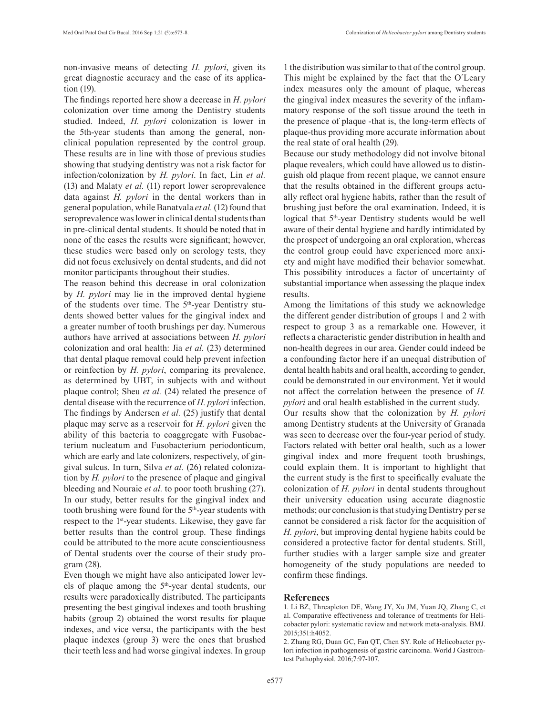non-invasive means of detecting *H. pylori*, given its great diagnostic accuracy and the ease of its application (19).

The findings reported here show a decrease in *H. pylori* colonization over time among the Dentistry students studied. Indeed, *H. pylori* colonization is lower in the 5th-year students than among the general, nonclinical population represented by the control group. These results are in line with those of previous studies showing that studying dentistry was not a risk factor for infection/colonization by *H. pylori*. In fact, Lin *et al.* (13) and Malaty *et al.* (11) report lower seroprevalence data against *H. pylori* in the dental workers than in general population, while Banatvala *et al.* (12) found that seroprevalence was lower in clinical dental students than in pre-clinical dental students. It should be noted that in none of the cases the results were significant; however, these studies were based only on serology tests, they did not focus exclusively on dental students, and did not monitor participants throughout their studies.

The reason behind this decrease in oral colonization by *H. pylori* may lie in the improved dental hygiene of the students over time. The  $5<sup>th</sup>$ -year Dentistry students showed better values for the gingival index and a greater number of tooth brushings per day. Numerous authors have arrived at associations between *H. pylori* colonization and oral health: Jia *et al.* (23) determined that dental plaque removal could help prevent infection or reinfection by *H. pylori*, comparing its prevalence, as determined by UBT, in subjects with and without plaque control; Sheu *et al.* (24) related the presence of dental disease with the recurrence of *H. pylori* infection. The findings by Andersen *et al.* (25) justify that dental plaque may serve as a reservoir for *H. pylori* given the ability of this bacteria to coaggregate with Fusobacterium nucleatum and Fusobacterium periodonticum, which are early and late colonizers, respectively, of gingival sulcus. In turn, Silva *et al.* (26) related colonization by *H. pylori* to the presence of plaque and gingival bleeding and Nouraie *et al.* to poor tooth brushing (27). In our study, better results for the gingival index and tooth brushing were found for the  $5<sup>th</sup>$ -year students with respect to the 1st-year students. Likewise, they gave far better results than the control group. These findings could be attributed to the more acute conscientiousness of Dental students over the course of their study program (28).

Even though we might have also anticipated lower levels of plaque among the 5th-year dental students, our results were paradoxically distributed. The participants presenting the best gingival indexes and tooth brushing habits (group 2) obtained the worst results for plaque indexes, and vice versa, the participants with the best plaque indexes (group 3) were the ones that brushed their teeth less and had worse gingival indexes. In group

1 the distribution was similar to that of the control group. This might be explained by the fact that the O´Leary index measures only the amount of plaque, whereas the gingival index measures the severity of the inflammatory response of the soft tissue around the teeth in the presence of plaque -that is, the long-term effects of plaque-thus providing more accurate information about the real state of oral health (29).

Because our study methodology did not involve bitonal plaque revealers, which could have allowed us to distinguish old plaque from recent plaque, we cannot ensure that the results obtained in the different groups actually reflect oral hygiene habits, rather than the result of brushing just before the oral examination. Indeed, it is logical that 5<sup>th</sup>-year Dentistry students would be well aware of their dental hygiene and hardly intimidated by the prospect of undergoing an oral exploration, whereas the control group could have experienced more anxiety and might have modified their behavior somewhat. This possibility introduces a factor of uncertainty of substantial importance when assessing the plaque index results.

Among the limitations of this study we acknowledge the different gender distribution of groups 1 and 2 with respect to group 3 as a remarkable one. However, it reflects a characteristic gender distribution in health and non-health degrees in our area. Gender could indeed be a confounding factor here if an unequal distribution of dental health habits and oral health, according to gender, could be demonstrated in our environment. Yet it would not affect the correlation between the presence of *H. pylori* and oral health established in the current study. Our results show that the colonization by *H. pylori* among Dentistry students at the University of Granada was seen to decrease over the four-year period of study. Factors related with better oral health, such as a lower gingival index and more frequent tooth brushings, could explain them. It is important to highlight that the current study is the first to specifically evaluate the colonization of *H. pylori* in dental students throughout their university education using accurate diagnostic methods; our conclusion is that studying Dentistry per se cannot be considered a risk factor for the acquisition of *H. pylori*, but improving dental hygiene habits could be considered a protective factor for dental students. Still, further studies with a larger sample size and greater homogeneity of the study populations are needed to confirm these findings.

#### **References**

- 1. Li BZ, Threapleton DE, Wang JY, Xu JM, Yuan JQ, Zhang C, et al. Comparative effectiveness and tolerance of treatments for Helicobacter pylori: systematic review and network meta-analysis. BMJ. 2015;351:h4052.
- 2. Zhang RG, Duan GC, Fan QT, Chen SY. Role of Helicobacter pylori infection in pathogenesis of gastric carcinoma. World J Gastrointest Pathophysiol. 2016;7:97-107.